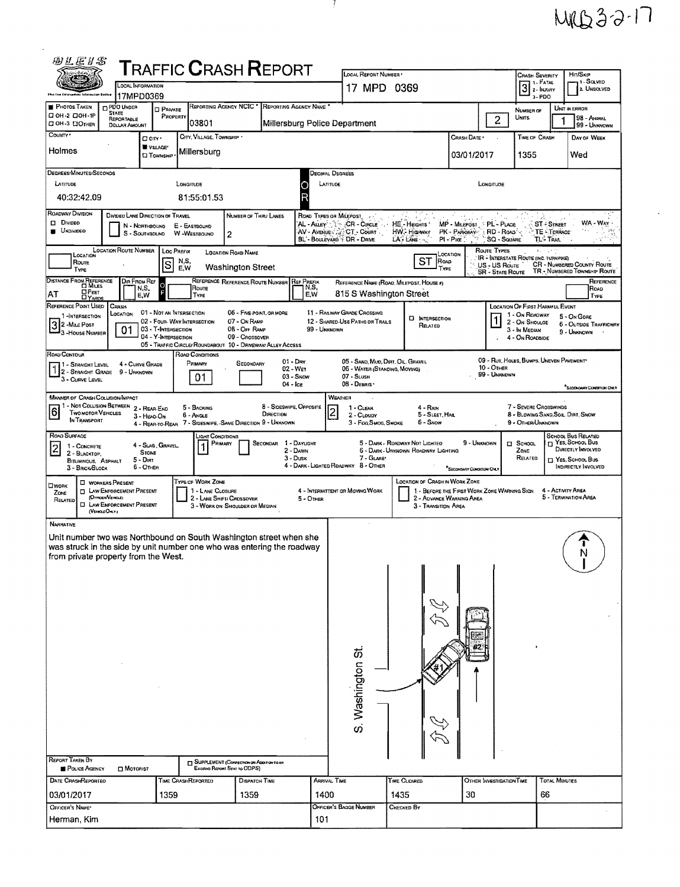## MRB32-17

 $\epsilon_{\rm{eff}}$ 

| 羽汇运》S<br><b>TRAFFIC CRASH REPORT</b>                                                                                                                                                                                                                                                                                                                                              |                                                                           | LOCAL REPORT NUMBER                                                 |                                                                              |                                             | <b>CRASH SEVERITY</b>                                                                | HIT/SKIP                                                             |  |  |  |  |  |
|-----------------------------------------------------------------------------------------------------------------------------------------------------------------------------------------------------------------------------------------------------------------------------------------------------------------------------------------------------------------------------------|---------------------------------------------------------------------------|---------------------------------------------------------------------|------------------------------------------------------------------------------|---------------------------------------------|--------------------------------------------------------------------------------------|----------------------------------------------------------------------|--|--|--|--|--|
| 225<br><b>LOCAL INFORMATION</b><br>tatarmana» Rents.<br>17MPD0369                                                                                                                                                                                                                                                                                                                 |                                                                           | 17 MPD 0369                                                         |                                                                              |                                             | 11 - SOLVED<br>1 - Fatal<br>$\overline{3}$<br>2. UNSOLVED<br>2 - Injury<br>$3 - PDO$ |                                                                      |  |  |  |  |  |
| REPORTING AGENCY NCIC *<br><b>PHOTOS TAKEN</b><br><b>ELPDO UNDER</b><br><b>D</b> PRIVATE<br><b>STATE</b>                                                                                                                                                                                                                                                                          | REPORTING AGENCY NAME                                                     |                                                                     |                                                                              | $\overline{c}$                              | NUMBER OF                                                                            | UNIT IN ERROR                                                        |  |  |  |  |  |
| □ ОН-2 □ ОН-1Р<br>PROPERTY<br>REPORTABLE<br>03801<br>⊡ ОН-3 ⊡Отнев<br><b>DOLLAR AMOUNT</b>                                                                                                                                                                                                                                                                                        | Millersburg Police Department                                             |                                                                     | Units                                                                        | 98 - ANIMAL<br>99 - UNKNOWN                 |                                                                                      |                                                                      |  |  |  |  |  |
| COUNTY <sup>.</sup><br>CITY, VILLAGE, TOWNSHIP .<br>□ city ·<br>VILLAGE*                                                                                                                                                                                                                                                                                                          |                                                                           |                                                                     |                                                                              | CRASH DATE                                  | TIME OF CRASH                                                                        | DAY OF WEEK                                                          |  |  |  |  |  |
| Holmes<br>Millersburg<br><b>CI TOWNSHIP</b>                                                                                                                                                                                                                                                                                                                                       |                                                                           |                                                                     |                                                                              | 03/01/2017                                  | 1355                                                                                 | Wed                                                                  |  |  |  |  |  |
| DEGREES/MINUTES/SECONDS<br>LATITUDE<br>LONGITUDE                                                                                                                                                                                                                                                                                                                                  |                                                                           | Decimal Degrees<br>LATITUDE                                         |                                                                              | LONGITUDE                                   |                                                                                      |                                                                      |  |  |  |  |  |
| 40:32:42.09<br>81:55:01.53                                                                                                                                                                                                                                                                                                                                                        |                                                                           |                                                                     |                                                                              |                                             |                                                                                      |                                                                      |  |  |  |  |  |
| Roadway Division<br>DIVIDEO LANE DIRECTION OF TRAVEL<br><b>DIVIDEO</b>                                                                                                                                                                                                                                                                                                            | NUMBER OF THRU LANES                                                      | ROAD TYPES OR MILEPOST                                              |                                                                              |                                             |                                                                                      |                                                                      |  |  |  |  |  |
| WA - WAY<br>AL - ALLEY : Twe CR - CIRCLE<br>HE-HEIGHTS'<br>MP - MILEPOST PL - PLACE<br><b>ST-STREET</b><br>N - NORTHBOUND<br>E - EASTBOUND<br><b>UNDIVIDEO</b><br>AV - Avenue ACCT - Count<br>HW. Highway<br>PK - PARKWAY   RD - ROAD<br>TE - TERRACE<br>S - SOUTHBOUND<br>W-WESTBOUND<br>2<br>BL'- BOULEVARD + DR - DRIVE<br>$LA + LANE$<br>PI-Pike -<br>SQ - SQUARE<br>TL- Tran |                                                                           |                                                                     |                                                                              |                                             |                                                                                      |                                                                      |  |  |  |  |  |
| <b>LOCATION ROUTE NUMBER</b><br>ROUTE TYPES<br><b>Loc PREFIX</b><br><b>LOCATION ROAD NAME</b><br>LOCATION<br>LOCATION                                                                                                                                                                                                                                                             |                                                                           |                                                                     |                                                                              |                                             |                                                                                      |                                                                      |  |  |  |  |  |
| IR - INTERSTATE ROUTE (INC. TURNPIKE)<br>ST<br>N,S,<br>ROAD<br>Route<br>S<br>CR - NUMBERED COUNTY ROUTE<br>US - US Route<br><b>Washington Street</b><br>E,W<br>TYPE<br>TYPE<br>TR - NUMBERED TOWNSHIP ROUTE<br><b>SR - STATE ROUTE</b>                                                                                                                                            |                                                                           |                                                                     |                                                                              |                                             |                                                                                      |                                                                      |  |  |  |  |  |
| DISTANCE FROM REFERENCE<br>DIR FROM REF<br>Ō<br>Route<br>N,S,<br>OFEET<br>AT                                                                                                                                                                                                                                                                                                      | REFERENCE REFERENCE ROUTE NUMBER<br><b>REF PREFIX</b><br>N,S,<br>E.W      | REFERENCE NAME (ROAD, MILEPOST, HOUSE #)<br>815 S Washington Street |                                                                              |                                             |                                                                                      | REFERENCE<br>Roap                                                    |  |  |  |  |  |
| E.W<br>TYPE<br><b>DYARDS</b><br>REFERENCE POINT USED<br>CRASH<br>01 - NOT AN INTERSECTION                                                                                                                                                                                                                                                                                         | 06 - FIVE-POINT, OR MORE                                                  | <b>11 - RAILWAY GRADE CROSSING</b>                                  |                                                                              |                                             | <b>LOCATION OF FIRST HARMFUL EVENT</b>                                               | Түре                                                                 |  |  |  |  |  |
| LOCATION<br>1-INTERSECTION<br>02 - Four-WAY INTERSECTION<br>3 2 - MALE POST<br>3 - HOUSE NUMBER<br>03 - T-INTERSECTION<br>01                                                                                                                                                                                                                                                      | 07 - On RAMP<br>08 - Off RAMP<br>99 - UNKNOWN                             | 12 - SHARED-USE PATHS OR TRAILS                                     | <b>EI INTERSECTION</b><br>RELATED                                            | 1                                           | 1 - On ROADWAY<br>2 - On Shoulde<br>3 - In Median                                    | 5 - On Gone<br>6 - OUTSIDE TRAFFICWAY                                |  |  |  |  |  |
| 04 - Y-INTERSECTION<br>05 - TRAFFIC CIRCLE/ ROUNDABOUT 10 - DRIVEWAY/ ALLEY ACCESS                                                                                                                                                                                                                                                                                                | 09 - Crossover                                                            |                                                                     |                                                                              |                                             | 4 - On ROADSIDE                                                                      | 9 - UNKNOWN                                                          |  |  |  |  |  |
| ROAD CONTOUR<br>ROAD CONDITIONS<br>PRIMARY<br>4 - CURVE GRADE<br>1 - STRAIGHT LEVEL                                                                                                                                                                                                                                                                                               | $01 - \text{Dar}$<br>SECONDARY                                            | 05 - SAND, MUD, DIRT, OIL, GRAVEL                                   |                                                                              | 10 - OTHER                                  | 09 - RUT, HOLES, BUMPS, UNEVEN PAVEMENT*                                             |                                                                      |  |  |  |  |  |
| 1 2 - STRAIGHT LEVEL<br>1 2 - STRAIGHT GRADE<br>9 - UNKNOWN<br>01<br>3 - CURVE LEVEL                                                                                                                                                                                                                                                                                              | 02 - WET<br>$03 -$ SNOW<br>04 - Ice                                       | 06 - WATER (STANDING, MOVING)<br>07 - SLUSH<br>08 - DEBRIS *        |                                                                              | . 99 - UNKNOWN                              |                                                                                      |                                                                      |  |  |  |  |  |
| "SECONOMIC CONDITION ONLY<br>WEATHER<br><b>MANNER OF CRASH COLUSION/MPACT</b>                                                                                                                                                                                                                                                                                                     |                                                                           |                                                                     |                                                                              |                                             |                                                                                      |                                                                      |  |  |  |  |  |
| 11 - Not Collision Between 2 - Rear-End<br>5 - BACKING<br>6<br>TWO MOTOR VEHICLES<br><b>6 - ANGLE</b><br>3 - HEAD-ON<br>In Transport<br>4 - REAR-TO-REAR 7 - SIDESWIPE, SAME DIRECTION 9 - UNKNOWN                                                                                                                                                                                | 8 - SIDESWIPE, OPPOSITE<br>DIRECTION                                      | 1 - CLEAR<br>2 - CLOUDY<br>3 - Fog, Swog, SMOKE                     | 4 - Rath<br>5 - SLEET, HALL<br>6 - Snow                                      |                                             | 7 - Severe Crosswinds<br>8 - Blowing Sand, Soll. Dirt, Snow<br>9 - OTHER/UNKNOWN     |                                                                      |  |  |  |  |  |
| ROAD SURFACE<br>ight Conditions.                                                                                                                                                                                                                                                                                                                                                  |                                                                           |                                                                     |                                                                              |                                             |                                                                                      | <b>SCHOOL BUS RELATED</b>                                            |  |  |  |  |  |
| PRIMARY<br>4 - SLAG, GRAVEL,<br>1 - CONCRETE<br>$\vert$ 2 $\vert$<br><b>STONE</b><br>2 - BLACKTOP,<br>5 - Dirt                                                                                                                                                                                                                                                                    | SECONDAR 1 - DAYLIGHT<br>2 - DAWN<br>$3 -$ Dusk                           | 7 - GLARE*                                                          | 5 - DARK - ROADWAY NOT LIGHTED<br><b>6 - DARK - UNKNOWN ROADWAY LIGHTING</b> | 9 - UNKNOWN                                 | □ School<br>ZONE<br>RELATED                                                          | <b>TT YES, SCHOOL BUS</b><br>DIRECTLY INVOLVED<br>T Yes, School, Bus |  |  |  |  |  |
| BITUMINOUS, ASPHALT<br>6 - Other<br>3 - BRCK BLOCK                                                                                                                                                                                                                                                                                                                                |                                                                           | 4 - DARK - LIGHTED ROADWAY 8 - OTHER                                |                                                                              | "SECONDARY CONOLITON ONL                    |                                                                                      | <b>INDIRECTLY INVOLVED</b>                                           |  |  |  |  |  |
| TYPE OF WORK ZONE<br><b>D</b> WORKERS PRESENT<br>Пиюнк<br>1 - LANE CLOSURE<br>LAW ENFORCEMENT PRESENT<br>$\Box$<br>ZONE<br>(OFFICER/Veracut)                                                                                                                                                                                                                                      |                                                                           | 4 - INTERMITTENT OR MOVING WORK                                     | LOCATION OF CRASH IN WORK ZONE                                               | 1 - BEFORE THE FIRST WORK ZONE WARNING SIGN | 4 - ACTIVITY AREA                                                                    | 5 - Termination Area                                                 |  |  |  |  |  |
| 2 - LANE SHIFT/ CROSSOVER<br>RELATED<br>LAW ENFORCEMENT PRESENT<br>□<br>(VEHICLE OMY)                                                                                                                                                                                                                                                                                             | 5 - OTHER<br>3 - WORK ON SHOULDER OR MEDIAN                               |                                                                     | 2 - ADVANCE WARNING AREA<br>3 - Transition Area                              |                                             |                                                                                      |                                                                      |  |  |  |  |  |
| <b>NARRATIVE</b>                                                                                                                                                                                                                                                                                                                                                                  |                                                                           | $\cdot$                                                             |                                                                              |                                             |                                                                                      |                                                                      |  |  |  |  |  |
| Unit number two was Northbound on South Washington street when she<br>was struck in the side by unit number one who was entering the roadway                                                                                                                                                                                                                                      |                                                                           |                                                                     |                                                                              |                                             |                                                                                      | N                                                                    |  |  |  |  |  |
| from private property from the West.                                                                                                                                                                                                                                                                                                                                              |                                                                           |                                                                     |                                                                              |                                             |                                                                                      |                                                                      |  |  |  |  |  |
|                                                                                                                                                                                                                                                                                                                                                                                   |                                                                           |                                                                     |                                                                              |                                             |                                                                                      |                                                                      |  |  |  |  |  |
|                                                                                                                                                                                                                                                                                                                                                                                   |                                                                           |                                                                     |                                                                              |                                             |                                                                                      |                                                                      |  |  |  |  |  |
|                                                                                                                                                                                                                                                                                                                                                                                   |                                                                           |                                                                     |                                                                              |                                             |                                                                                      |                                                                      |  |  |  |  |  |
|                                                                                                                                                                                                                                                                                                                                                                                   |                                                                           |                                                                     |                                                                              |                                             |                                                                                      |                                                                      |  |  |  |  |  |
|                                                                                                                                                                                                                                                                                                                                                                                   |                                                                           |                                                                     |                                                                              |                                             |                                                                                      |                                                                      |  |  |  |  |  |
|                                                                                                                                                                                                                                                                                                                                                                                   |                                                                           | S. Washington St                                                    |                                                                              |                                             |                                                                                      |                                                                      |  |  |  |  |  |
|                                                                                                                                                                                                                                                                                                                                                                                   |                                                                           |                                                                     |                                                                              |                                             |                                                                                      |                                                                      |  |  |  |  |  |
|                                                                                                                                                                                                                                                                                                                                                                                   |                                                                           |                                                                     |                                                                              |                                             |                                                                                      |                                                                      |  |  |  |  |  |
|                                                                                                                                                                                                                                                                                                                                                                                   |                                                                           |                                                                     |                                                                              |                                             |                                                                                      |                                                                      |  |  |  |  |  |
|                                                                                                                                                                                                                                                                                                                                                                                   |                                                                           |                                                                     |                                                                              |                                             |                                                                                      |                                                                      |  |  |  |  |  |
| <b>REPORT TAKEN BY</b><br>POLICE AGENCY<br><b>CI MOTORIST</b>                                                                                                                                                                                                                                                                                                                     | SUPPLEMENT (CORRECTION OR ADDITION TO AH<br>Existing Report Sent to ODPS) |                                                                     |                                                                              |                                             |                                                                                      |                                                                      |  |  |  |  |  |
| <b>DATE CRASHREPORTED</b><br>TINE CRASHREPORTEO                                                                                                                                                                                                                                                                                                                                   | <b>DISPATCH TIME</b>                                                      | ARRIVAL TIME                                                        | TIME CLEARED                                                                 | OTHER INVESTIGATION TIME                    | <b>TOTAL MINUTES</b>                                                                 |                                                                      |  |  |  |  |  |
| 03/01/2017<br>1359<br>OFFICER'S NAME*                                                                                                                                                                                                                                                                                                                                             | 1400<br>1359                                                              | Officer's Bange Number                                              | 1435<br>CHECKED BY                                                           | 30                                          | 66                                                                                   |                                                                      |  |  |  |  |  |
| Herman, Kim                                                                                                                                                                                                                                                                                                                                                                       | 101                                                                       |                                                                     |                                                                              |                                             |                                                                                      |                                                                      |  |  |  |  |  |

- 7 -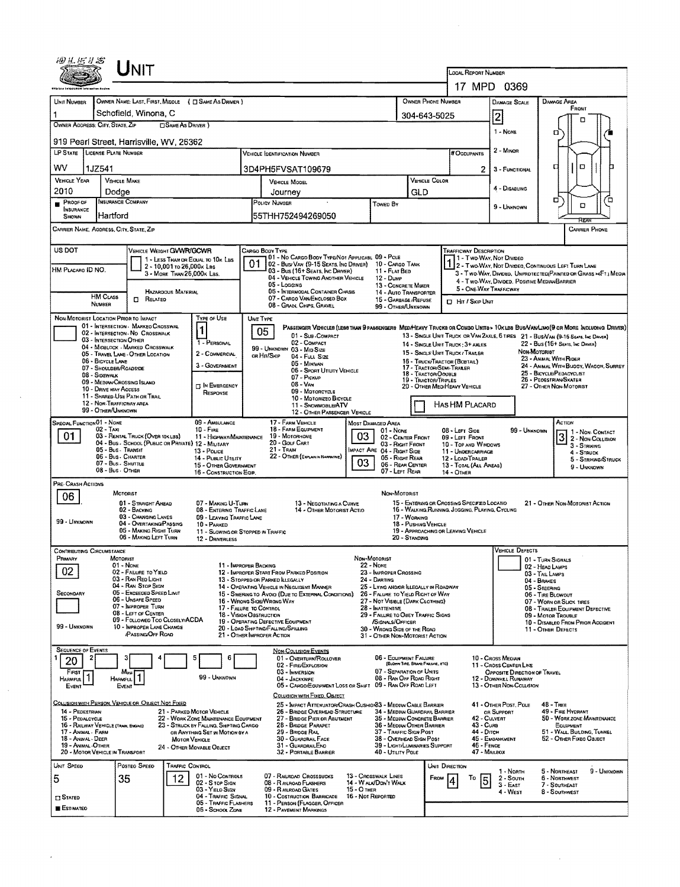| 细丝细分器                                                                     |                           | Unit                                                                                               |                                                         |                                                                                |                                                                                |                                                                                                                                                         |                                                                                           |                                                                               |                                      |                                             |                                                                                                |                                                                                                                        |                                                                                   |                                                                                   |             |  |  |
|---------------------------------------------------------------------------|---------------------------|----------------------------------------------------------------------------------------------------|---------------------------------------------------------|--------------------------------------------------------------------------------|--------------------------------------------------------------------------------|---------------------------------------------------------------------------------------------------------------------------------------------------------|-------------------------------------------------------------------------------------------|-------------------------------------------------------------------------------|--------------------------------------|---------------------------------------------|------------------------------------------------------------------------------------------------|------------------------------------------------------------------------------------------------------------------------|-----------------------------------------------------------------------------------|-----------------------------------------------------------------------------------|-------------|--|--|
|                                                                           |                           |                                                                                                    |                                                         |                                                                                |                                                                                |                                                                                                                                                         |                                                                                           |                                                                               |                                      |                                             | LOCAL REPORT NUMBER<br>17 MPD 0369                                                             |                                                                                                                        |                                                                                   |                                                                                   |             |  |  |
| UNIT NUMBER                                                               |                           | OWNER NAME: LAST, FIRST, MIDDLE ( C) SAME AS DRIVER )                                              |                                                         |                                                                                |                                                                                |                                                                                                                                                         |                                                                                           |                                                                               | <b>OWNER PHONE NUMBER</b>            |                                             |                                                                                                | <b>DAMAGE SCALE</b>                                                                                                    |                                                                                   | <b>DAMAGE AREA</b>                                                                |             |  |  |
| 1                                                                         |                           | Schofield, Winona, C                                                                               |                                                         |                                                                                | 304-643-5025                                                                   |                                                                                                                                                         |                                                                                           | 2                                                                             |                                      | FRONT                                       |                                                                                                |                                                                                                                        |                                                                                   |                                                                                   |             |  |  |
| OWNER ADDRESS: CITY, STATE, ZIP<br>SAME AS DRIVER )                       |                           |                                                                                                    |                                                         |                                                                                |                                                                                |                                                                                                                                                         |                                                                                           |                                                                               |                                      |                                             |                                                                                                | 1 - NONE                                                                                                               |                                                                                   |                                                                                   |             |  |  |
| 919 Pearl Street, Harrisville, WV, 26362<br>LP STATE LICENSE PLATE NUMBER |                           |                                                                                                    |                                                         |                                                                                |                                                                                |                                                                                                                                                         |                                                                                           |                                                                               |                                      |                                             |                                                                                                |                                                                                                                        | o                                                                                 |                                                                                   |             |  |  |
|                                                                           |                           |                                                                                                    |                                                         |                                                                                |                                                                                | <b>VEHICLE IDENTIFICATION NUMBER</b>                                                                                                                    |                                                                                           |                                                                               |                                      |                                             | # Occupants                                                                                    | $2 -$ Minon                                                                                                            |                                                                                   |                                                                                   |             |  |  |
| wv<br><b>VEHICLE YEAR</b>                                                 | 1JZ541                    |                                                                                                    |                                                         |                                                                                | 3D4PH5FVSAT109679<br>VEHICLE COLOR                                             |                                                                                                                                                         |                                                                                           |                                                                               |                                      |                                             | 2                                                                                              | 3 - FUNCTIONAL                                                                                                         |                                                                                   | O<br>а                                                                            |             |  |  |
| 2010                                                                      |                           | <b>VEHICLE MAKE</b><br>Dodge                                                                       |                                                         |                                                                                | <b>VEHICLE MODEL</b><br>Journey                                                |                                                                                                                                                         |                                                                                           |                                                                               | GLD                                  |                                             |                                                                                                | 4 - DISABLING                                                                                                          |                                                                                   |                                                                                   |             |  |  |
| PROOF OF<br><b>INSURANCE</b>                                              |                           | INSURANCE COMPANY                                                                                  |                                                         |                                                                                | POLICY NUMBER                                                                  |                                                                                                                                                         |                                                                                           | TOWED BY                                                                      |                                      |                                             |                                                                                                |                                                                                                                        | 9 - UNKNOWN                                                                       | □<br>O                                                                            | □           |  |  |
| SHOWN                                                                     | Hartford                  |                                                                                                    |                                                         |                                                                                |                                                                                | 55THH752494269050                                                                                                                                       |                                                                                           |                                                                               |                                      |                                             |                                                                                                |                                                                                                                        |                                                                                   |                                                                                   |             |  |  |
|                                                                           |                           | CARRIER NAME, AODRESS, CITY, STATE, ZIP                                                            |                                                         |                                                                                |                                                                                |                                                                                                                                                         |                                                                                           |                                                                               |                                      |                                             |                                                                                                |                                                                                                                        |                                                                                   | <b>CARRIER PHONE</b>                                                              |             |  |  |
| US DOT                                                                    |                           | VEHICLE WEIGHT GVWR/GCWR                                                                           |                                                         | 1 - LESS THAN OR EQUAL TO 10K LBS                                              |                                                                                | CARGO BODY TYPE<br>01 - No CARGO BODY TYPE/NOT APPLICABL 09 - POLE                                                                                      |                                                                                           |                                                                               |                                      |                                             | <b>TRAFFICWAY DESCRIPTION</b><br>1 - Two-Way, Not Divideo                                      |                                                                                                                        |                                                                                   |                                                                                   |             |  |  |
| HM PLACARO ID NO.                                                         |                           |                                                                                                    | 2 - 10,001 to 26,000x Les<br>3 - MORE THAN 26,000K LSS. |                                                                                | 01                                                                             | 02 - Busi Van (9-15 Seats, Ing Driver)<br>03 - Bus (16+ Seats, Inc DRIVER)                                                                              |                                                                                           | 10 - CARGO TANK<br>11 - FLAT BED                                              |                                      |                                             |                                                                                                | 2 - Two-Way, Not Divideo, Continuous LEFT TURN LANE<br>3 - Two-Way, Divided, Unprotected(Painted or Grass >4Ft.) Media |                                                                                   |                                                                                   |             |  |  |
|                                                                           |                           |                                                                                                    | HAZARDOUS MATERIAL                                      |                                                                                |                                                                                | 04 - VEHICLE TOWING ANOTHER VEHICLE<br>05 - Logging<br>06 - INTERMODAL CONTAINER CHASIS                                                                 |                                                                                           | 12 - Duwe<br>13 - CONCRETE MIXER<br>14 - AUTO TRANSPORTER                     |                                      |                                             | 5 - ONE-WAY TRAFFICWAY                                                                         |                                                                                                                        |                                                                                   | 4 - Two-Way, Divided, Positive Median Barrier                                     |             |  |  |
|                                                                           | <b>HM CLASS</b><br>NUMBER | $\Box$<br>RELATED                                                                                  |                                                         |                                                                                |                                                                                | 07 - CARGO VAN/ENCLOSED BOX<br>08 - GRAN, CHPS, GRAVEL                                                                                                  |                                                                                           | 15 - GARBAGE /REFUSE<br>99 - OTHER/UNKNOWN                                    |                                      |                                             | <b>CI HIT / SKIP UNIT</b>                                                                      |                                                                                                                        |                                                                                   |                                                                                   |             |  |  |
|                                                                           |                           | NON-MOTORIST LOCATION PRIOR TO IMPACT                                                              |                                                         | <b>Type of Use</b>                                                             |                                                                                | UNIT TYPE                                                                                                                                               |                                                                                           |                                                                               |                                      |                                             |                                                                                                |                                                                                                                        |                                                                                   |                                                                                   |             |  |  |
|                                                                           |                           | 01 - INTERSECTION - MARKEO CROSSWAL<br>02 - INTERSECTION - NO CROSSWALK<br>03 - INTERSECTION OTHER |                                                         | 1                                                                              |                                                                                | PASSENGER VEHICLES (LESS THAN 9 PASSENGERS MED/HEAVY TRUCKS OR COMBO UNITS > 10K LBS BUS/VAN/LIMO(9 OR MORE INCLUDING DRIVER)<br>05<br>01 - Sue-COMPACT |                                                                                           |                                                                               |                                      |                                             |                                                                                                |                                                                                                                        |                                                                                   | 13 - SINGLE UNIT TRUCK OR VAN ZAXLE, 6 TIRES 21 - BUSNAN (9-15 SEATS, INC DRIVER) |             |  |  |
|                                                                           |                           | 04 - MIDBLOCK - MARKED CROSSWALK<br>05 - TRAVEL LANE - OTHER LOCATION                              |                                                         | 1 - PERSONAL<br>2 - COMMERCIAL                                                 |                                                                                | 02 - COMPACT<br>99 - UNKNOWN 03 - MID SIZE<br>ов На/Ѕків<br>04 - FULL SIZE                                                                              |                                                                                           |                                                                               |                                      |                                             | 14 - SINGLE UNIT TRUCK: 3+ AXLES<br>15 - SINGLE UNIT TRUCK / TRAILER                           |                                                                                                                        | NON-MOTORIST                                                                      | 22 - Bus (16+ Seats, Inc Daven)                                                   |             |  |  |
|                                                                           | 06 - BICYCLE LANE         | 07 - SHOULDER/ROADSIDE                                                                             |                                                         | 3 - GOVERNMENT                                                                 |                                                                                | 05 - MINIVAN<br>06 - SPORT UTILITY VEHICLE                                                                                                              |                                                                                           |                                                                               | 17 - TRACTOR/SEMI-TRALER             |                                             | 16 - TRUCK/TRACTOR (BOBTAIL)                                                                   |                                                                                                                        | 23 - ANWAL WITH RIDER<br>24 - ANIMAL WITH BUGGY, WAGON, SURREY                    |                                                                                   |             |  |  |
|                                                                           | 08 - Sidewalk             | 09 - MEDIAN/CROSSING ISLAND                                                                        |                                                         | <b>IN EMERGENCY</b>                                                            | 18 - TRACTOR/DOUBLE<br>07 - Pickup<br>19 - TRACTOR/TROLES<br>$08 - V_{AM}$     |                                                                                                                                                         |                                                                                           |                                                                               |                                      |                                             | 20 - OTHER MEDIMEAVY VEHICLE                                                                   |                                                                                                                        |                                                                                   | 25 - BICYCLE/PEDACYCLIST<br>26 - Peoestruan/Skater<br>27 - OTHER NON-MOTORIST     |             |  |  |
|                                                                           | 10 - DRIVE WAY ACCESS     | 11 - SHARED USE PATH OR TRAR<br>12 - NON-TRAFFICWAY AREA                                           |                                                         | RESPONSE                                                                       | 09 - MOTORCYCLE<br>10 - MOTORIZEO BICYCLE                                      |                                                                                                                                                         |                                                                                           |                                                                               |                                      |                                             |                                                                                                |                                                                                                                        |                                                                                   |                                                                                   |             |  |  |
|                                                                           | 99 - OTHER/UNKNOWN        |                                                                                                    |                                                         |                                                                                |                                                                                | 11 - SNOWMOBILE/ATV<br>12 - OTHER PASSENGER VEHICLE                                                                                                     |                                                                                           |                                                                               |                                      |                                             | HAS HM PLACARD                                                                                 |                                                                                                                        |                                                                                   |                                                                                   |             |  |  |
| SPECIAL FUNCTION 01 - NONE                                                | 02 - Taxi                 | 03 - RENTAL TRUCK (OVER 10KLBS)                                                                    |                                                         | 09 - AMBULANCE<br>10 - FIRE                                                    |                                                                                | 17 - FARM VEHICLE<br>18 - FARM EQUIPMENT<br>19 - MOTORHOME                                                                                              |                                                                                           | <b>MOST DAMAGED AREA</b><br>$01 - None$                                       |                                      |                                             | 08 - LEFT SIDE                                                                                 |                                                                                                                        | 99 - UNKNOWN                                                                      | ACTION<br>1 - Non-Contact                                                         |             |  |  |
| 01                                                                        |                           | 04 - Bus - SCHOOL (PUBLIC OR PRIVATE) 12 - MILITARY<br>05 - Bus - Transit                          |                                                         | 11 - HIGHWAY/MAINTENANCE<br>13 - Pouce                                         |                                                                                | 20 - GDLF CART<br>21 - Train                                                                                                                            | 03                                                                                        | 02 - CENTER FRONT<br>03 - Right Front<br>MPACT ARE 04 - RIGHT SIDE            |                                      |                                             | 09 - LEFT FRONT<br>10 - TOP AND WINDOWS<br>11 - UNDERCARRIAGE                                  |                                                                                                                        |                                                                                   | $\mathbf{3}$<br>2 - NON-COLLISION<br>3 - STRIKING<br>4 - STRUCK                   |             |  |  |
|                                                                           |                           | 06 - Bus - Charter<br>07 - Bus - SHUTTLE                                                           |                                                         | 14 - PUBLIC UTILITY<br>15 - OTHER GOVERNMENT                                   | 22 - OTHER (EXPLAIR IN NARRATIVE)<br>05 - RIGHT REAR<br>03<br>06 - REAR CENTER |                                                                                                                                                         |                                                                                           |                                                                               |                                      | 12 - LOAD/TRAILER<br>13 - TOTAL (ALL AREAS) |                                                                                                |                                                                                                                        |                                                                                   | 5 - STRIKING/STRUCK                                                               |             |  |  |
|                                                                           |                           | 08 - Bus - OTHER                                                                                   |                                                         | 16 - CONSTRUCTION EQIP.                                                        |                                                                                |                                                                                                                                                         |                                                                                           | 07 - LEFT REAR                                                                |                                      |                                             | 14 - OTHER                                                                                     |                                                                                                                        |                                                                                   | 9 - UNKNOWN                                                                       |             |  |  |
| PRE-CRASH ACTIONS<br>06                                                   |                           | MOTORIST                                                                                           |                                                         |                                                                                |                                                                                |                                                                                                                                                         |                                                                                           | Non-Motorist                                                                  |                                      |                                             |                                                                                                |                                                                                                                        |                                                                                   |                                                                                   |             |  |  |
|                                                                           |                           | 01 - STRAIGHT AHEAD<br>02 - BACKNG                                                                 |                                                         | 07 - MAKING U-TURN<br>08 - ENTERING TRAFFIC LANE                               |                                                                                | 13 - NEGOTIATING A CURVE<br>14 - OTHER MOTORIST ACTIO                                                                                                   |                                                                                           |                                                                               |                                      |                                             | 15 - ENTERING OR CROSSING SPECIFIED LOCATIO<br>16 - WALKING RUNNING, JOGGING, PLAYING, CYCLING |                                                                                                                        |                                                                                   | 21 - OTHER NON-MOTORIST ACTION                                                    |             |  |  |
| 99 - UNKNOWN                                                              |                           | 03 - CHANGING LANES<br>04 - OVERTAKING/PASSING<br>05 - MAKING RIGHT TURN                           |                                                         | 09 - LEAVING TRAFFIC LANE<br>10 - PARKED<br>11 - SLOWING OR STOPPED IN TRAFFIC |                                                                                |                                                                                                                                                         |                                                                                           |                                                                               | 17 - WORKING<br>18 - Pushing Vehicle |                                             | 19 - APPROACHING OR LEAVING VEHICLE                                                            |                                                                                                                        |                                                                                   |                                                                                   |             |  |  |
|                                                                           |                           | 06 - Making Left Turn                                                                              |                                                         | 12 - DRIVERLESS                                                                |                                                                                |                                                                                                                                                         |                                                                                           |                                                                               | 20 - Standing                        |                                             |                                                                                                |                                                                                                                        |                                                                                   |                                                                                   |             |  |  |
| <b>CONTRIBUTING CIRCUMSTANCE</b><br>Primary                               |                           | MOTORIST                                                                                           |                                                         |                                                                                |                                                                                |                                                                                                                                                         | Non-Motorist                                                                              |                                                                               |                                      |                                             |                                                                                                |                                                                                                                        | VEHICLE DEFECTS                                                                   | 01 - TURN SIGNALS                                                                 |             |  |  |
| 02                                                                        |                           | 01 - NONE<br>02 - FAILURE TO YIELD                                                                 |                                                         | 11 - IMPROPER BACKING                                                          |                                                                                | 12 - IMPROPER START FROM PARKED POSITION                                                                                                                |                                                                                           | 22 - Nove<br>23 - IMPROPER CROSSING                                           |                                      |                                             |                                                                                                |                                                                                                                        |                                                                                   | 02 - HEAD LAMPS<br>03 - TAIL LAMPS                                                |             |  |  |
| SECONDARY                                                                 |                           | 03 - RAN RED LIGHT<br>04 - RAN STOP SIGN<br>05 - Exceeped Speed Limit                              |                                                         |                                                                                |                                                                                | 13 - Stopped or Parked LLEGALLY<br>14 - OPERATING VEHICLE IN NEGLIGENT MANNER<br>15 - Swering to Avoid (Due to External Conditions)                     |                                                                                           | 24 - DARTING<br>25 - LYING AND/OR ILLEGALLY IN ROADWAY                        |                                      |                                             |                                                                                                |                                                                                                                        | 04 - BRAKES                                                                       | 05 - STEERING                                                                     |             |  |  |
|                                                                           |                           | 06 - Unsafe Speed<br>07 - IMPROPER TURN                                                            |                                                         | 17 - FALURE TO CONTROL                                                         |                                                                                | 16 - Wrong Side/Wrong Way                                                                                                                               | 26 - FALURE TO YIELD RIGHT OF WAY<br>27 - NOT VISIBLE (DARK CLOTHING)<br>28 - INATTENTIVE |                                                                               |                                      |                                             |                                                                                                |                                                                                                                        | 06 - TIRE BLOWOUT<br>07 - WORN OR SLICK TIRES<br>08 - TRAILER EQUIPMENT DEFECTIVE |                                                                                   |             |  |  |
|                                                                           |                           | 08 - LEFT OF CENTER<br>09 - FOLLOWEO TOO CLOSELY/ACDA                                              |                                                         |                                                                                |                                                                                | 18 - VISION OBSTRUCTION<br>29 - FAILURE TO OBEY TRAFFIC SIGNS<br>19 - OPERATING DEFECTIVE EQUIPMENT<br>/SIGNALS/OFFICER                                 |                                                                                           |                                                                               |                                      |                                             |                                                                                                |                                                                                                                        |                                                                                   | 09 - MOTOR TROUBLE<br>10 - DISABLEO FROM PRIOR ACCIDENT                           |             |  |  |
| 99 - UNKNOWN                                                              |                           | 10 - IMPROPER LANE CHANGE<br><b>(PASSING/OFF ROAD</b>                                              |                                                         |                                                                                |                                                                                | 20 - LOAD SHIFTING/FALLING/SPILLING<br>21 - OTHER IMPROPER ACTION                                                                                       |                                                                                           | 30 - WRONG SIDE OF THE ROAD<br>31 - OTHER NON-MOTORIST ACTION                 |                                      |                                             |                                                                                                |                                                                                                                        |                                                                                   | 11 - OTHER DEFECTS                                                                |             |  |  |
| <b>SEQUENCE OF EVENTS</b>                                                 |                           |                                                                                                    |                                                         |                                                                                |                                                                                | <b>NON-COLLISION EVENTS</b>                                                                                                                             |                                                                                           |                                                                               |                                      |                                             |                                                                                                |                                                                                                                        |                                                                                   |                                                                                   |             |  |  |
| 20<br>FIRST                                                               |                           | Most                                                                                               |                                                         |                                                                                |                                                                                | 01 - OVERTURN/ROLLOVER<br>02 - FIRE/EXPLOSION<br>03 - IMMERSION                                                                                         |                                                                                           | 06 - EQUIPMENT FAILURE<br>07 - SEPARATION OF UNITS                            | (BLOWN TIRE, BRANE FARURE, ETC)      |                                             |                                                                                                | 10 - Cross Meora<br>11 - CROSS CENTER LINE                                                                             | OPPOSITE DIRECTION OF TRAVEL                                                      |                                                                                   |             |  |  |
| HARMFUL <sup>1</sup><br>EVENT                                             |                           | <b>HARMFUL</b><br>EVENT                                                                            |                                                         | 99 - Unknown                                                                   |                                                                                | 04 - JACKKNIFE<br>05 - CARGO/EGUIPMENT LOSS OR SHIFT 09 - RAN OFF ROAD LEFT                                                                             |                                                                                           | 08 - RAN OFF ROAD RIGHT                                                       |                                      |                                             |                                                                                                | 12 - DOWNHEL RUNAWAY<br>13 - OTHER NON-COLLISION                                                                       |                                                                                   |                                                                                   |             |  |  |
|                                                                           |                           | COLLISION WITH PERSON, VEHICLE OR OBJECT NOT FIXED                                                 |                                                         |                                                                                |                                                                                | COLUSION WITH FIXED, OBJECT                                                                                                                             |                                                                                           |                                                                               |                                      |                                             |                                                                                                |                                                                                                                        |                                                                                   | $48 - T$ REE                                                                      |             |  |  |
| 14 - PEDESTRIAN<br>15 - PEDALCYCLE                                        |                           |                                                                                                    |                                                         | 21 - PARKED MOTOR VEHICLE<br>22 - WORK ZONE MAINTENANCE EQUIPMENT              |                                                                                | 25 - IMPACT ATTENUATOR/CRASH CUSHION33 - MEDIAN CABLE BARRIER<br>26 - BRIDGE OVERHEAD STRUCTURE<br>27 - BRIDGE PIER OR ABUTMENT                         |                                                                                           | 34 - MEDIAN GUARDRAIL BARRIER<br>35 - MEDIAN CONCRETE BARRIER                 |                                      |                                             | 42 - CULVERT                                                                                   | 41 - OTHER POST, POLE<br>OR SUPPORT                                                                                    |                                                                                   | 49 - FIRE HYDRANT<br>50 - WORK ZONE MAINTENANCE                                   |             |  |  |
| 16 - RAILWAY VEHICLE (TRAIN, ENGINE)<br>17 - ANIMAL - FARM                |                           |                                                                                                    |                                                         | 23 - STRUCK BY FALLING, SHIFTING CARGO<br>OR ANYTHING SET IN MOTION BY A       |                                                                                | 28 - BRIDGE PARAPET<br>29 - BRIDGE RAIL                                                                                                                 |                                                                                           | 36 - MEDAN OTHER BARRIER<br>37 - TRAFFIC SIGN POST                            |                                      |                                             | 43 - Cura<br>44 - Опсн                                                                         |                                                                                                                        |                                                                                   | EQUIPMENT<br>51 - WALL, BUILDING, TUNNEL                                          |             |  |  |
| 18 - ANIMAL - DEER<br>19 - ANIMAL - OTHER                                 |                           | 20 - MOTOR VEHICLE IN TRANSPORT                                                                    | MOTOR VEHICLE                                           | 24 - OTHER MOVABLE OBJECT                                                      |                                                                                | 30 - GUARDRAIL FACE<br>31 - GUARDRAILENO<br>32 - PORTABLE BARRIER                                                                                       |                                                                                           | 38 - OVERHEAD SIGN POST<br>39 - LIGHT/LUMINARIES SUPPORT<br>40 - UTILITY POLE |                                      |                                             | 46 - FENCE<br>47 - MAILBOX                                                                     | 45 - EMBANKMENT                                                                                                        |                                                                                   | 52 - OTHER FIXEO OBJECT                                                           |             |  |  |
| UNIT SPEED                                                                |                           | POSTEO SPEED                                                                                       | <b>TRAFFIC CONTROL</b>                                  |                                                                                |                                                                                |                                                                                                                                                         |                                                                                           |                                                                               |                                      | UNIT DIRECTION                              |                                                                                                |                                                                                                                        |                                                                                   |                                                                                   |             |  |  |
| 5                                                                         |                           | 35                                                                                                 | 12                                                      | 01 - No CONTROLS<br>02 - S TOP SIGN                                            |                                                                                | 07 - RAILROAD CROSSBUCKS<br>08 - RAILROAD FLASHERS                                                                                                      |                                                                                           | 13 - CROSSWALK LINES<br>14 - WALK/DON'T WALK                                  |                                      | FROM                                        | To                                                                                             | 1 - NORTH<br>2 - South                                                                                                 |                                                                                   | 5 - NORTHEAST<br><b>6 - NORTHWEST</b>                                             | 9 - UNKNOWN |  |  |
| $\square$ Stated                                                          |                           |                                                                                                    |                                                         | 03 - YIELD SIGN<br>04 - TRAFFIC SIGNAL                                         |                                                                                | 09 - RAILROAD GATES<br>10 - COSTRUCTION BARRICADE                                                                                                       | $15 - 0$ THER<br>16 - Nor Reported                                                        |                                                                               |                                      |                                             |                                                                                                | $3 - East$<br>4 - WEST                                                                                                 |                                                                                   | 7 - SOUTHEAST<br>8 - Southwest                                                    |             |  |  |
| <b>ESTIMATEO</b>                                                          |                           |                                                                                                    |                                                         | 05 - TRAFFIC FLASHERS<br>05 - SCHOOL ZONE                                      |                                                                                | 11 - PERSON (FLAGGER, OFFICER<br>12 - PAVEMENT MARKINGS                                                                                                 |                                                                                           |                                                                               |                                      |                                             |                                                                                                |                                                                                                                        |                                                                                   |                                                                                   |             |  |  |

 $\bar{\mathcal{A}}$ 

 $\sim$ 

 $\bar{\omega}$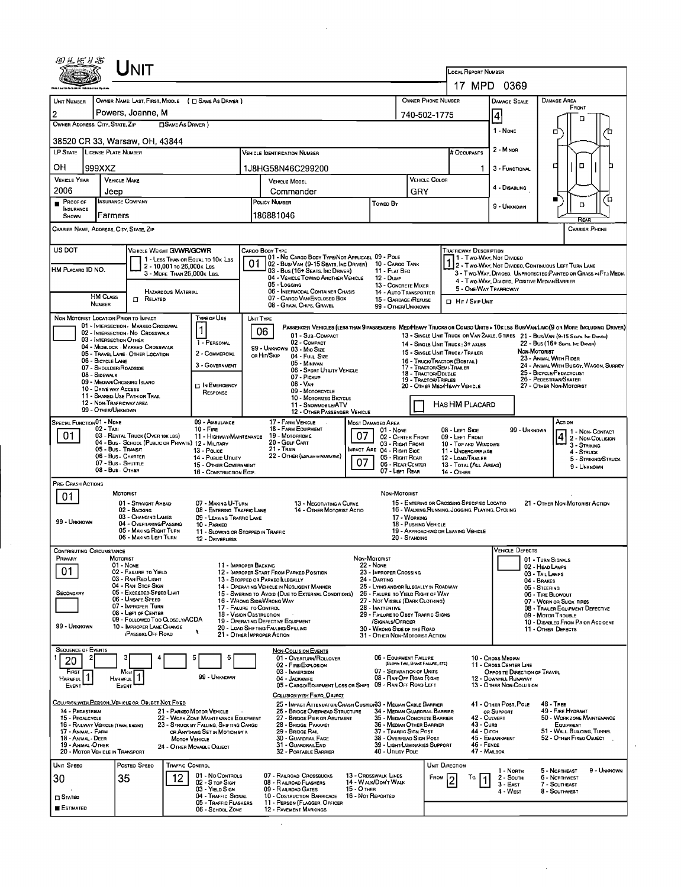| 田巴尼り名                                                                                                                                                                                                                                                                                                                                                                                                                           |                                    | UNIT                                                                                    |                            |                                                                   |              |                                                                                                  |                                  |                                                                             |                                                  |                         |                                                  |                                                       |                                                                   |                                                                                                                              |  |  |
|---------------------------------------------------------------------------------------------------------------------------------------------------------------------------------------------------------------------------------------------------------------------------------------------------------------------------------------------------------------------------------------------------------------------------------|------------------------------------|-----------------------------------------------------------------------------------------|----------------------------|-------------------------------------------------------------------|--------------|--------------------------------------------------------------------------------------------------|----------------------------------|-----------------------------------------------------------------------------|--------------------------------------------------|-------------------------|--------------------------------------------------|-------------------------------------------------------|-------------------------------------------------------------------|------------------------------------------------------------------------------------------------------------------------------|--|--|
|                                                                                                                                                                                                                                                                                                                                                                                                                                 |                                    |                                                                                         |                            |                                                                   |              |                                                                                                  |                                  | <b>LOCAL REPORT NUMBER</b>                                                  |                                                  |                         |                                                  |                                                       |                                                                   |                                                                                                                              |  |  |
|                                                                                                                                                                                                                                                                                                                                                                                                                                 |                                    |                                                                                         |                            |                                                                   |              |                                                                                                  |                                  |                                                                             | 17 MPD 0369                                      |                         |                                                  |                                                       |                                                                   |                                                                                                                              |  |  |
| <b>UNIT NUMBER</b><br>2                                                                                                                                                                                                                                                                                                                                                                                                         |                                    | Powers, Joanne, M                                                                       |                            | OWNER NAME: LAST, FIRST, MIDDLE ( C) SAME AS DRIVER )             |              | <b>OWNER PHONE NUMBER</b>                                                                        |                                  |                                                                             | <b>DAMAGE SCALE</b><br>$\vert 4 \vert$           |                         | DAMAGE AREA<br>FRONT                             |                                                       |                                                                   |                                                                                                                              |  |  |
| OWNER ADDRESS: CITY, STATE, ZIP                                                                                                                                                                                                                                                                                                                                                                                                 |                                    |                                                                                         | □SAME AS DRIVER)           |                                                                   | 740-502-1775 |                                                                                                  | п                                |                                                                             |                                                  |                         |                                                  |                                                       |                                                                   |                                                                                                                              |  |  |
|                                                                                                                                                                                                                                                                                                                                                                                                                                 |                                    | 38520 CR 33, Warsaw, OH, 43844                                                          |                            |                                                                   |              |                                                                                                  |                                  |                                                                             |                                                  |                         |                                                  | 1 - NONE                                              |                                                                   | □                                                                                                                            |  |  |
| LP STATE LICENSE PLATE NUMBER                                                                                                                                                                                                                                                                                                                                                                                                   |                                    |                                                                                         |                            |                                                                   |              |                                                                                                  |                                  | # Occupants                                                                 | 2 - MINOR                                        |                         |                                                  |                                                       |                                                                   |                                                                                                                              |  |  |
| OН                                                                                                                                                                                                                                                                                                                                                                                                                              | 999XXZ                             |                                                                                         |                            |                                                                   |              | 1J8HG58N46C299200                                                                                |                                  |                                                                             |                                                  |                         |                                                  | 3 - FUNCTIONAL                                        |                                                                   | $\Box$<br>◻                                                                                                                  |  |  |
| <b>VEHICLE YEAR</b>                                                                                                                                                                                                                                                                                                                                                                                                             |                                    | <b>VEHICLE MAKE</b>                                                                     |                            |                                                                   |              | <b>VEHICLE COLOR</b><br><b>VEHICLE MODEL</b>                                                     |                                  |                                                                             |                                                  |                         |                                                  | 4 - Disabling                                         |                                                                   |                                                                                                                              |  |  |
| 2006<br>Proof of                                                                                                                                                                                                                                                                                                                                                                                                                | Jeep                               | <b>INSURANCE COMPANY</b>                                                                |                            |                                                                   |              | Commander<br>POLICY NUMBER                                                                       |                                  |                                                                             | GRY                                              |                         |                                                  |                                                       |                                                                   | ้ต<br>■                                                                                                                      |  |  |
| <b>INSURANCE</b><br>SHOWN                                                                                                                                                                                                                                                                                                                                                                                                       | Farmers                            |                                                                                         |                            |                                                                   |              | Towed By<br>186881046                                                                            |                                  |                                                                             |                                                  |                         |                                                  | 9 - Unknown                                           |                                                                   | 口                                                                                                                            |  |  |
| ਕਿਸ਼ਨ<br>CARRIER NAME, ADORESS, CITY, STATE, ZIP<br><b>CARRIER PHONE</b>                                                                                                                                                                                                                                                                                                                                                        |                                    |                                                                                         |                            |                                                                   |              |                                                                                                  |                                  |                                                                             |                                                  |                         |                                                  |                                                       |                                                                   |                                                                                                                              |  |  |
| US DOT<br>VEHICLE WEIGHT GVWR/GCWR<br><b>TRAFFICWAY DESCRIPTION</b><br>Cargo Booy Type<br>01 - No CARGO BODY TYPE/NOT APPLICABL 09 - POLE<br>1 - Two-Way, Not Divideo                                                                                                                                                                                                                                                           |                                    |                                                                                         |                            |                                                                   |              |                                                                                                  |                                  |                                                                             |                                                  |                         |                                                  |                                                       |                                                                   |                                                                                                                              |  |  |
| HM PLACARD ID NO.                                                                                                                                                                                                                                                                                                                                                                                                               |                                    |                                                                                         | 2 - 10,001 To 26,000 K LBS | 1 - LESS THAN OR EQUAL TO 10K LBS                                 |              | 02 - Bus/Van (9-15 Seats, Inc Driver)<br>03 - Bus (16+ Seats, Inc Driver)                        |                                  | 10 - Cargo Tank<br>11 - FLAT BED                                            |                                                  |                         |                                                  |                                                       |                                                                   | 1 2 - Two-Way, Not Divideo, Continuous Left Turn Lane                                                                        |  |  |
|                                                                                                                                                                                                                                                                                                                                                                                                                                 |                                    |                                                                                         | 3 - MORE THAN 26.000K LBS. |                                                                   |              | 04 - VEHICLE TOWINO ANDTHER VEHICLE<br>05 - Loccing                                              |                                  | <b>12 - DUMP</b><br>13 - CONCRETE MIXER                                     |                                                  |                         |                                                  | 4 - Two-Way, Divided. Positive Median Barrier         |                                                                   | 3 - Two-WAY, DIVIDED, UNPROTECTED (PAINTED OR GRASS >4FT.) MEDIA                                                             |  |  |
|                                                                                                                                                                                                                                                                                                                                                                                                                                 | <b>HM CLASS</b>                    | $\Box$<br>RELATED                                                                       | HAZARDOUS MATERIAL         |                                                                   |              | 06 - INTERMODAL CONTAINER CHASIS<br>07 - CARGO VAN ENCLOSED BOX                                  |                                  | 14 - Auto Transporter<br>15 - GARBAGE /REFUSE                               |                                                  |                         |                                                  | 5 - ONE-WAY TRAFFICWAY                                |                                                                   |                                                                                                                              |  |  |
|                                                                                                                                                                                                                                                                                                                                                                                                                                 | <b>NUMBER</b>                      |                                                                                         |                            |                                                                   |              | 08 - GRAIN, CHIPS, GRAVEL                                                                        |                                  | 99 - OTHER/UNKNOWN                                                          |                                                  |                         | D Hit / Skip UNIT                                |                                                       |                                                                   |                                                                                                                              |  |  |
|                                                                                                                                                                                                                                                                                                                                                                                                                                 |                                    | NON-MOTORIST LOCATION PRIOR TO IMPACT<br>01 - INTERSECTION - MARKEO CROSSWAL            |                            | Type or Use<br>1                                                  |              | UNIT TYPE                                                                                        |                                  |                                                                             |                                                  |                         |                                                  |                                                       |                                                                   | PASSENGER VEHICLES (LESS THAN 9 PASSENGERS MED/HEAVY TRUCKS OR COMBO UNITS > 10KLES BUS/VAM/LIMO(9 OR MORE INCLUDING DRIVER) |  |  |
|                                                                                                                                                                                                                                                                                                                                                                                                                                 |                                    | 02 - INTERSECTION - NO CROSSWALK<br>03 - INTERSECTION OTHER                             |                            | 1 - PERSONAL                                                      |              | 06<br>01 - Sub COMPACT<br>02 - COMPACT                                                           |                                  |                                                                             |                                                  |                         | 14 - SINGLE UNIT TRUCK: 3+ AXLES                 |                                                       |                                                                   | 13 - SINGLE UNIT TRUCK OR VAN 2AXLE, 6 TIRES 21 - BUS/VAN (9-15 SEATS, INC DRIVER)<br>22 - Bus (16+ Seats, Inc Driver)       |  |  |
|                                                                                                                                                                                                                                                                                                                                                                                                                                 |                                    | 04 - MIDBLOCK - MARKED CROSSWALK<br>05 - TRAVEL LANE - OTHER LOCATION                   |                            | 2 - COMMERCIAL                                                    |              | 99 - UNKNOWN 03 - MIO SIZE<br>OR HIT/SKIP<br>04 - Fuu, Size                                      |                                  |                                                                             |                                                  |                         | 15 - SINGLE UNIT TRUCK / TRAILER                 |                                                       | NON-MOTORIST                                                      | 23 - ANIMAL WITH RIDER                                                                                                       |  |  |
|                                                                                                                                                                                                                                                                                                                                                                                                                                 | 06 - BICYCLE LANE<br>08 - SIDEWALK | 07 - SHOULDER/ROADSIDE                                                                  |                            | 3 - GOVERNMENT                                                    |              | 05 - Minivan<br>06 - SPORT UTILITY VEHICLE                                                       |                                  |                                                                             | 17 - TRACTOR/SEMI-TRAILER<br>18 - TRACTOR/DDUBLE |                         | 16 - TRUCK/TRACTOR (BOBTAL)                      |                                                       | 24 - ANIMAL WITH BUGGY, WAGON, SURREY<br>25 - BICYCLE/PEDACYCLIST |                                                                                                                              |  |  |
|                                                                                                                                                                                                                                                                                                                                                                                                                                 | 10 - DRIVE WAY ACCESS              | 09 - MEDIAN/CROSSING ISLANO                                                             |                            | <b>DIN EMERGENCY</b>                                              |              | 07 - Pickup<br>19 - TRACTOR/TRIPLES<br>$08 - V_{AN}$                                             |                                  |                                                                             |                                                  |                         | 20 - OTHER MEO/HEAVY VEHICLE                     | 26 - PEOESTRIAN/SKATER<br>27 - OTHER NON-MOTORIST     |                                                                   |                                                                                                                              |  |  |
|                                                                                                                                                                                                                                                                                                                                                                                                                                 |                                    | 11 - Shared-Use Path or Trail<br>12 - Non-Trafficway area                               |                            | RESPONSE                                                          |              | 09 - MOTORCYCLE<br>10 - MOTORIZED BICYCLE                                                        |                                  |                                                                             |                                                  |                         |                                                  |                                                       |                                                                   |                                                                                                                              |  |  |
|                                                                                                                                                                                                                                                                                                                                                                                                                                 | 99 - OTHER/UNKNOWN                 |                                                                                         |                            |                                                                   |              | 11 - SNOWMOBILE/ATV<br>12 - OTHER PASSENGER VEHICLE                                              |                                  |                                                                             |                                                  |                         | HAS HM PLACARD                                   |                                                       |                                                                   |                                                                                                                              |  |  |
| <b>SPECIAL FUNCTION 01 - NONE</b>                                                                                                                                                                                                                                                                                                                                                                                               | 02 - Taxi                          |                                                                                         |                            | 09 - AMBULANCE<br>$10 -$ Fire                                     |              | 17 - FARM VEHICLE<br>$\sim$<br>18 - FARM EQUIPMENT                                               |                                  | <b>MOST DAMAGED AREA</b><br>$01 - None$                                     |                                                  |                         | 08 - LEFT SIDE                                   | 99 - UNKNOWN                                          |                                                                   | ACTION<br>1 1 - Non-Contact                                                                                                  |  |  |
| 01                                                                                                                                                                                                                                                                                                                                                                                                                              |                                    | 03 - RENTAL TRUCK (OVER 10K LBS)<br>04 - Bus - SCHOOL (PUBLIC OR PRIVATE) 12 - MILITARY |                            | 11 - HIGHWAY/MAINTENANCE                                          |              | 19 - Мотовноме<br>20 - Golf CART                                                                 | 07                               | 02 - CENTER FRONT<br>03 - Right Front                                       |                                                  |                         | 09 - LEFT FRONT<br>10 - TOP AND WINDOWS          |                                                       |                                                                   | $42$ - Non-Collision<br>3 - STRIKING                                                                                         |  |  |
|                                                                                                                                                                                                                                                                                                                                                                                                                                 |                                    | 05 - Bus Transit<br>06 - Bus - Charter                                                  |                            | 13 - Pouce<br>14 - Pusuc Unuty                                    |              | $21 -$ Train<br>22 - OTHER (EXPLAIN IN NARRATIVE)                                                |                                  | <b>IMPACT ARE 04 - RIGHT SIDE</b><br>05 - RIGHT REAR                        |                                                  |                         | 11 - UNDERCARRIAGE<br>12 - LOAD/TRAILER          |                                                       |                                                                   | 4 - STRUCK<br>5 - STRIKING/STRUCK                                                                                            |  |  |
|                                                                                                                                                                                                                                                                                                                                                                                                                                 |                                    | 07 - Bus - SHUTTLE<br>08 - Bus - OTHER                                                  |                            | 15 - OTHER GOVERNMENT<br>16 - CONSTRUCTION EQIP.                  |              | 07<br>06 - REAR CENTER<br>07 - LEFT REAR                                                         |                                  |                                                                             |                                                  |                         | 13 - TOTAL (ALL AREAS)<br>14 - OTHER             | 9 - Unknown                                           |                                                                   |                                                                                                                              |  |  |
| PRE- CRASH ACTIONS                                                                                                                                                                                                                                                                                                                                                                                                              |                                    |                                                                                         |                            |                                                                   |              |                                                                                                  |                                  |                                                                             |                                                  |                         |                                                  |                                                       |                                                                   |                                                                                                                              |  |  |
| 01                                                                                                                                                                                                                                                                                                                                                                                                                              |                                    | MOTORIST<br>01 - STRAIGHT AHEAD                                                         |                            | 07 - MAKING U-TURN                                                |              | 13 - NEGOTIATING A CURVE                                                                         |                                  | NON-MOTORIST                                                                |                                                  |                         | 15 - ENTERING OR CROSSING SPECIFIED LOCATIO      |                                                       |                                                                   | 21 - OTHER NON-MOTORIST ACTION                                                                                               |  |  |
| 99 - UNKNOWN                                                                                                                                                                                                                                                                                                                                                                                                                    |                                    | 02 - BACKING<br>03 - CHANGING LANES                                                     |                            | 08 - ENTERING TRAFFIC LANE<br>09 - LEAVING TRAFFIC LANE           |              | 14 - OTHER MOTORIST ACTIO                                                                        |                                  |                                                                             | 17 - WORKING                                     |                         | 16 - WALKING, RUNNING, JOGGING, PLAYING, CYCLING |                                                       |                                                                   |                                                                                                                              |  |  |
|                                                                                                                                                                                                                                                                                                                                                                                                                                 |                                    | 04 - OVERTAKING/PASSING<br>05 - MAKING RIGHT TURN                                       |                            | 10 - PARKED<br>11 - SLOWING OR STOPPED IN TRAFFIC                 |              |                                                                                                  |                                  |                                                                             | 18 - PUSHING VEHICLE                             |                         | 19 - APPROACHING OR LEAVING VEHICLE              |                                                       |                                                                   |                                                                                                                              |  |  |
| <b>CONTRIBUTING CIRCUMSTANCE</b>                                                                                                                                                                                                                                                                                                                                                                                                |                                    | 06 - MAKING LEFT TURN                                                                   |                            | 12 - DRIVERLESS                                                   |              |                                                                                                  |                                  |                                                                             | 20 - STANDING                                    |                         |                                                  | <b>VEHICLE DEFECTS</b>                                |                                                                   |                                                                                                                              |  |  |
| PRIMARY                                                                                                                                                                                                                                                                                                                                                                                                                         |                                    | MOTORIST<br>01 - None                                                                   |                            | 11 - IMPROPER BACKING                                             |              |                                                                                                  | NON-MOTORIST                     | <b>22 - NONE</b>                                                            |                                                  |                         |                                                  |                                                       | 01 - TURN SIGNALS                                                 |                                                                                                                              |  |  |
| 01                                                                                                                                                                                                                                                                                                                                                                                                                              |                                    | 02 - FAILURE TO YIELD<br>03 - RAN REO LIGHT                                             |                            |                                                                   |              | 12 - IMPROPER START FROM PARKED POSITION<br>13 - STOPPED OR PARKEO ILLEGALLY                     |                                  | 23 - IMPROPER CROSSING<br>24 - DARTING                                      |                                                  |                         |                                                  |                                                       | 02 - HEAD LAMPS<br>03 - TAIL LAMPS                                |                                                                                                                              |  |  |
| SECONDARY                                                                                                                                                                                                                                                                                                                                                                                                                       |                                    | 04 - RAN STOP SIGN<br>05 - Excesped Speed Limit                                         |                            |                                                                   |              | 14 - OPERATING VEHICLE IN NEGLIGENT MANNER<br>15 - SWERING TO AVOID (DUE TO EXTERNAL CONDITIONS) |                                  | 25 - LYING AND/OR ILLEGALLY IN ROADWAY<br>26 - FALURE TO YIELD RIGHT OF WAY |                                                  |                         |                                                  |                                                       | 04 - Brakes<br>05 - STEERING<br>06 TIRE BLOWOUT                   |                                                                                                                              |  |  |
|                                                                                                                                                                                                                                                                                                                                                                                                                                 |                                    | 06 - UNSAFE SPEED<br>07 - IMPROPER TURN                                                 |                            | 17 - FALURE TO CONTROL                                            |              | 16 - WRONG SIDE/WRONG WAY                                                                        |                                  | 27 - NOT VISBLE (DARK CLOTHING)<br>28 - INATTENTIVE                         |                                                  |                         |                                                  |                                                       |                                                                   | 07 - WORN OR SLICK TIRES<br>08 - TRALER EQUIPMENT DEFECTIVE                                                                  |  |  |
|                                                                                                                                                                                                                                                                                                                                                                                                                                 |                                    | 08 - LEFT OF CENTER<br>09 - FOLLOWEO TOO CLOSELY/ACDA                                   |                            | 18 - VISION OBSTRUCTION                                           |              | 19 - OPERATING DEFECTIVE EQUIPMENT                                                               |                                  | 29 - FAILURE TO OBEY TRAFFIC SIGNS<br>/SIGNALS/OFFICER                      |                                                  |                         |                                                  |                                                       |                                                                   | 09 - MOTOR TROUBLE<br>10 - DISABLED FROM PRIOR ACCIOENT                                                                      |  |  |
| 99 - Unknown                                                                                                                                                                                                                                                                                                                                                                                                                    |                                    | 10 - IMPROPER LANE CHANGE<br>/PASSING/OFF ROAD                                          |                            | ١                                                                 |              | 20 - LOAD SHIFTING/FALLING/SPILLING<br>21 - OTHER IMPROPER ACTION                                |                                  | 30 - WRONG SIDE DF THE ROAD<br>31 - OTHER NON-MOTORIST ACTION               |                                                  |                         |                                                  |                                                       | 11 - OTHER DEFECTS                                                |                                                                                                                              |  |  |
| <b>SEQUENCE OF EVENTS</b>                                                                                                                                                                                                                                                                                                                                                                                                       |                                    |                                                                                         |                            |                                                                   |              | <b>NON-COLLISION EVENTS</b>                                                                      |                                  |                                                                             |                                                  |                         |                                                  |                                                       |                                                                   |                                                                                                                              |  |  |
| 20                                                                                                                                                                                                                                                                                                                                                                                                                              |                                    |                                                                                         |                            | 5<br>6                                                            |              | 01 - OVERTURN/ROLLOVER<br>02 - FIRE/EXPLOSION                                                    |                                  | 06 - EQUIPMENT FAILURE                                                      | (BLOWN TIRE, BRAKE FALURE, ETC)                  |                         |                                                  | 10 - Cross Median<br>11 - Cross CENTER LINE           |                                                                   |                                                                                                                              |  |  |
| FIRST<br>HARMFUL                                                                                                                                                                                                                                                                                                                                                                                                                |                                    | Most<br><b>HARMFUL</b>                                                                  |                            | 99 - UNKNOWN                                                      |              | 03 - IMMERSION<br>04 - JACKKNIFE                                                                 |                                  | 07 - SEPARATION OF UNITS<br>08 - RAN OFF ROAD RIGHT                         |                                                  |                         |                                                  | OPPOSITE DIRECTION OF TRAVEL<br>12 - DOWNHILL RUNAWAY |                                                                   |                                                                                                                              |  |  |
| EVENT                                                                                                                                                                                                                                                                                                                                                                                                                           |                                    | EVENT                                                                                   |                            |                                                                   |              | 05 - CARGO/EQUIPMENT LOSS OR SHIFT<br>COLLISION WITH FIXED, OBJECT                               |                                  | 09 - RAN OFF ROAD LEFT                                                      |                                                  |                         |                                                  | 13 - OTHER NON-COLLISION                              |                                                                   |                                                                                                                              |  |  |
| 14 - PEDESTRIAN                                                                                                                                                                                                                                                                                                                                                                                                                 |                                    | COLLISION WITH PERSON, VEHICLE OR OBJECT NOT FIXED                                      |                            |                                                                   |              | 25 - IMPACT ATTENUATOR/CRASH CUSHION33 - MEDIAN CABLE BARRIER                                    |                                  |                                                                             |                                                  |                         |                                                  | 41 - OTHER POST, POLE                                 |                                                                   | <b>48 - TREE</b><br>49 - FIRE HYDRANT                                                                                        |  |  |
| 15 - PEOALCYCLE                                                                                                                                                                                                                                                                                                                                                                                                                 |                                    |                                                                                         |                            | 21 - PARKEO MOTOR VEHICLE<br>22 - WORK ZONE MAINTENANCE EQUIPMENT |              | 26 - BRIDGE OVERHEAD STRUCTURE<br>27 - BRIDGE PIER OR ABUTMENT                                   |                                  | 34 - Median Guardrail Barrier<br>35 - MEDIAN CONCRETE BARRIER               |                                                  |                         | 42 - CULVERT                                     | or Support                                            |                                                                   | 50 - WORKZONE MAINTENANCE                                                                                                    |  |  |
| 43 - Cura<br>16 - RAILWAY VEHICLE (TRAIN, ENGINE)<br>23 - STRUCK BY FALLING, SHIFTING CARGO<br>28 - BRIDGE PARAPET<br>36 - MEDIAN OTHER BARRIER<br>EQUIPMENT<br>44 - Олсн<br>51 - WALL, BULOING, TUNNEL<br>29 - BRIDGE RAIL<br>37 - TRAFFIC SIGN POST<br>17 - ANIMAL - FARM<br>OR ANYTHING SET IN MOTION BY A<br>45 - EMBANKMENT<br>30 - GUARDRAIL FACE<br>38 - OVERHEAD SIGN POST<br>18 - Anmal - Deer<br><b>MOTOR VEHICLE</b> |                                    |                                                                                         |                            |                                                                   |              |                                                                                                  |                                  |                                                                             |                                                  | 52 - Отнев Гіхео Овлест |                                                  |                                                       |                                                                   |                                                                                                                              |  |  |
| 19 - ANIMAL OTHER<br>20 - MOTOR VEHICLE IN TRANSPORT                                                                                                                                                                                                                                                                                                                                                                            |                                    |                                                                                         |                            | 24 - OTHER MOVABLE OBJECT                                         |              | 31 - GUARORAILEND<br>32 - PORTABLE BARRIER                                                       |                                  | 39 - LIGHT/LUMINARIES SUPPORT<br>40 - UTILITY POLE                          |                                                  |                         | 46 - FENCE<br>47 - MAILBOX                       |                                                       |                                                                   |                                                                                                                              |  |  |
| UNIT SPEED                                                                                                                                                                                                                                                                                                                                                                                                                      |                                    | POSTEO SPEED                                                                            | TRAFFIC CONTROL            |                                                                   |              |                                                                                                  |                                  |                                                                             |                                                  |                         | UNIT DIRECTION                                   |                                                       |                                                                   |                                                                                                                              |  |  |
| 30                                                                                                                                                                                                                                                                                                                                                                                                                              |                                    | 35                                                                                      | 12                         | 01 - No CONTROLS<br>02 - S TOP SIGN                               |              | 07 - RAILROAD CROSSBUCKS<br>08 - RAILROAD FLASHERS                                               |                                  | 13 - CROSSWALK LINES<br>14 - WALK/DON'T WALK                                |                                                  | FROM                    | Ta                                               | 1 - North<br>2 - South                                |                                                                   | 5 - NORTHEAST<br>9 - Unknown<br>6 - NORTHWEST                                                                                |  |  |
| <b>CI STATED</b>                                                                                                                                                                                                                                                                                                                                                                                                                |                                    |                                                                                         |                            | 03 - YIELD SIGN<br>04 - TRAFFIC SIGNAL                            |              | 09 - RAILROAD GATES<br>10 - Costruction Barricage                                                | 15 - O THER<br>16 - Not Reported |                                                                             |                                                  |                         |                                                  | $3 - E$ AST<br>4 - West                               |                                                                   | 7 - SOUTHEAST<br>8 - SOUTHWEST                                                                                               |  |  |
| 11 - PERSON (FLAGGER, OFFICER<br>05 - TRAFFIC FLASHERS<br><b>ESTIMATED</b><br>12 - PAVEMENT MARKINGS<br>06 - SCHOOL ZONE                                                                                                                                                                                                                                                                                                        |                                    |                                                                                         |                            |                                                                   |              |                                                                                                  |                                  |                                                                             |                                                  |                         |                                                  |                                                       |                                                                   |                                                                                                                              |  |  |

 $\hat{\mathcal{A}}$ 

 $\hat{\mathcal{A}}$